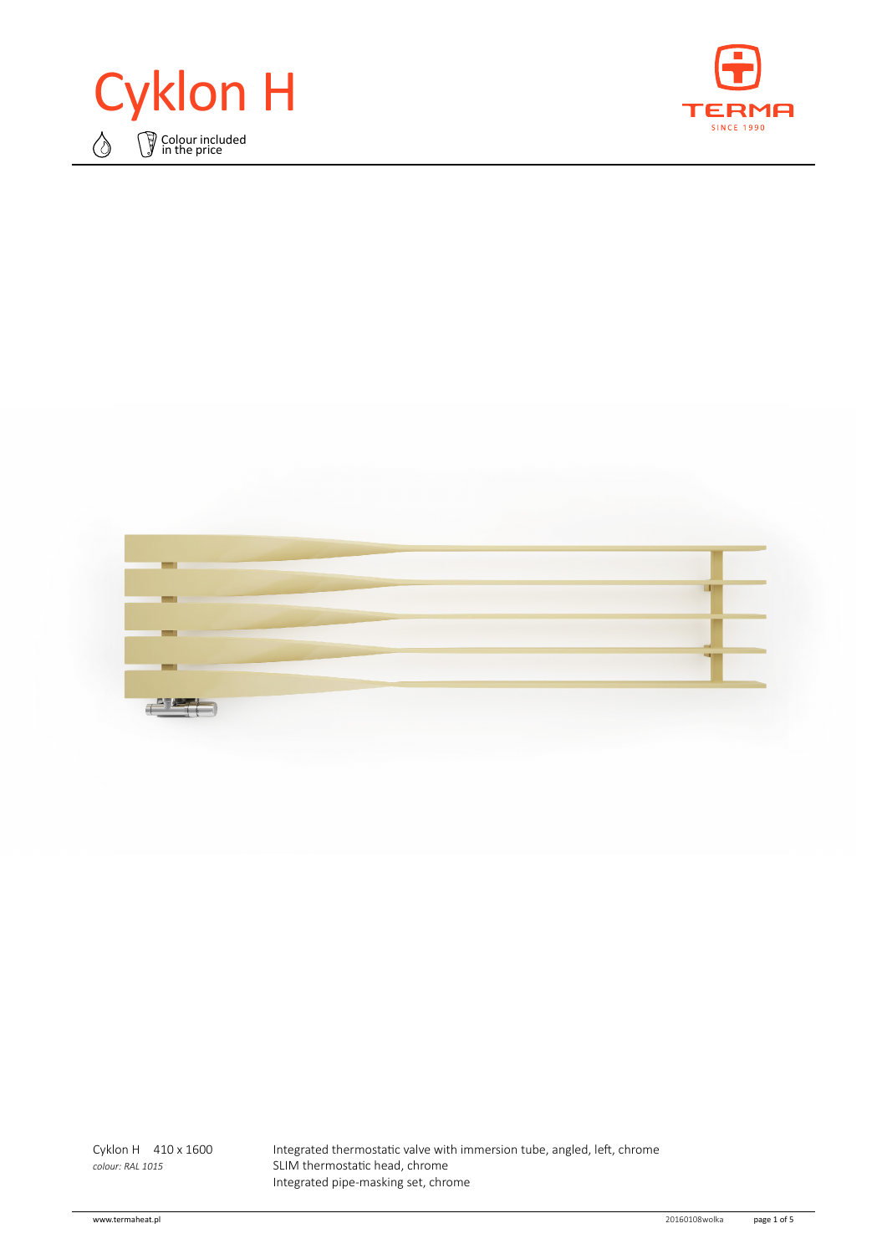





Cyklon H 410 x 1600 Integrated thermostatic valve with immersion tube, angled, left, chrome *colour: RAL 1015* SLIM thermostatic head, chrome Integrated pipe‑masking set, chrome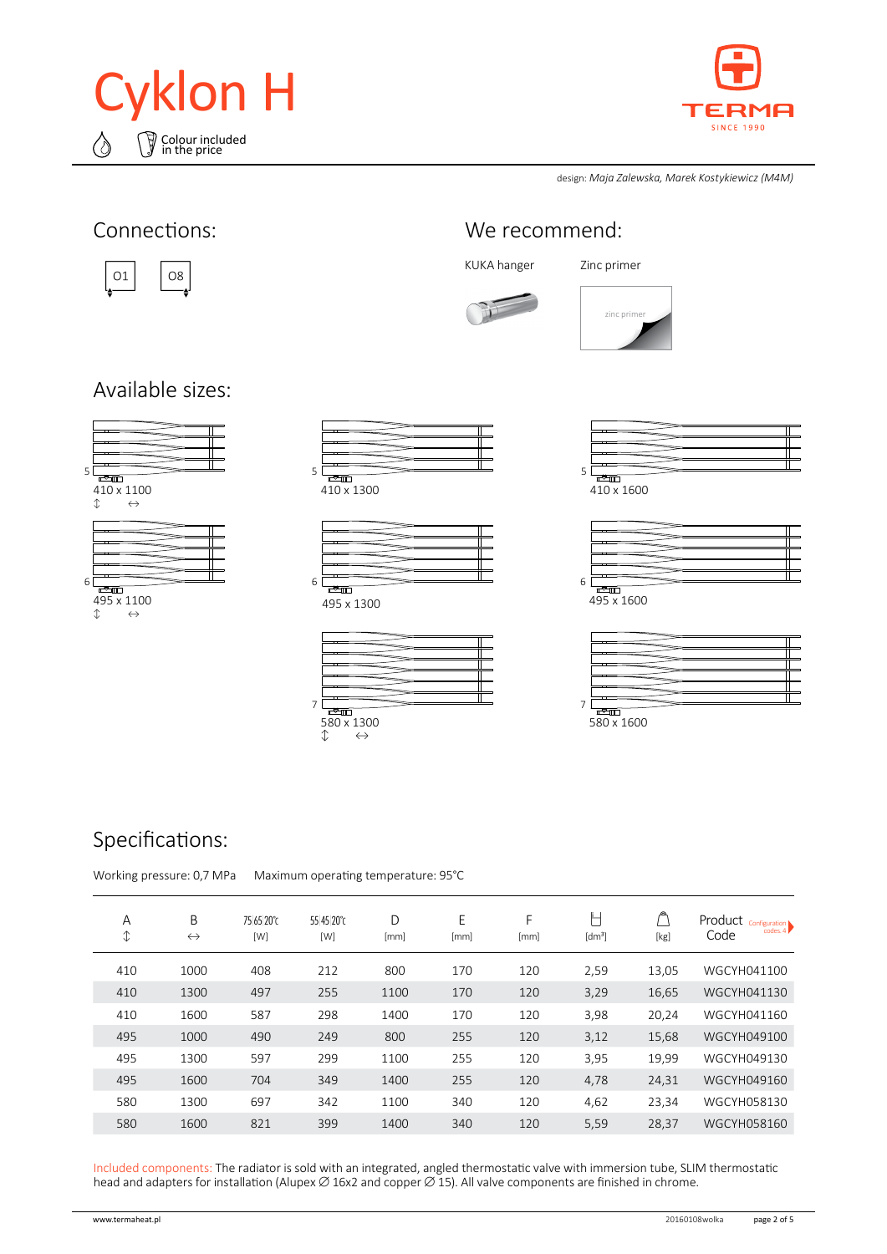



design: *Maja Zalewska, Marek Kostykiewicz (M4M)*



### Specifications:

Working pressure: 0,7 MPa Maximum operating temperature: 95°C

| Α<br>$\hat{\downarrow}$ | B<br>$\leftrightarrow$ | 75 65 20°C<br>[W] | 55 45 20°C<br>[W] | D<br>[mm] | E<br>[mm] | F<br>[mm] | L<br>[dm <sup>3</sup> ] | [kg]  | Product Configuration<br>codes. $4$<br>Code |
|-------------------------|------------------------|-------------------|-------------------|-----------|-----------|-----------|-------------------------|-------|---------------------------------------------|
| 410                     | 1000                   | 408               | 212               | 800       | 170       | 120       | 2,59                    | 13,05 | WGCYH041100                                 |
| 410                     | 1300                   | 497               | 255               | 1100      | 170       | 120       | 3,29                    | 16,65 | WGCYH041130                                 |
| 410                     | 1600                   | 587               | 298               | 1400      | 170       | 120       | 3,98                    | 20,24 | WGCYH041160                                 |
| 495                     | 1000                   | 490               | 249               | 800       | 255       | 120       | 3,12                    | 15,68 | WGCYH049100                                 |
| 495                     | 1300                   | 597               | 299               | 1100      | 255       | 120       | 3,95                    | 19,99 | WGCYH049130                                 |
| 495                     | 1600                   | 704               | 349               | 1400      | 255       | 120       | 4,78                    | 24,31 | WGCYH049160                                 |
| 580                     | 1300                   | 697               | 342               | 1100      | 340       | 120       | 4,62                    | 23,34 | WGCYH058130                                 |
| 580                     | 1600                   | 821               | 399               | 1400      | 340       | 120       | 5,59                    | 28,37 | WGCYH058160                                 |

Included components: The radiator is sold with an integrated, angled thermostatic valve with immersion tube, SLIM thermostatic head and adapters for installation (Alupex ∅ 16x2 and copper ∅ 15). All valve components are finished in chrome.



580 x 1300 ↕ ↔

| ும      |  |
|---------|--|
| 110.100 |  |

| —  |  |  |
|----|--|--|
|    |  |  |
|    |  |  |
|    |  |  |
|    |  |  |
|    |  |  |
| —  |  |  |
|    |  |  |
|    |  |  |
| ਜੀ |  |  |

580 x 1600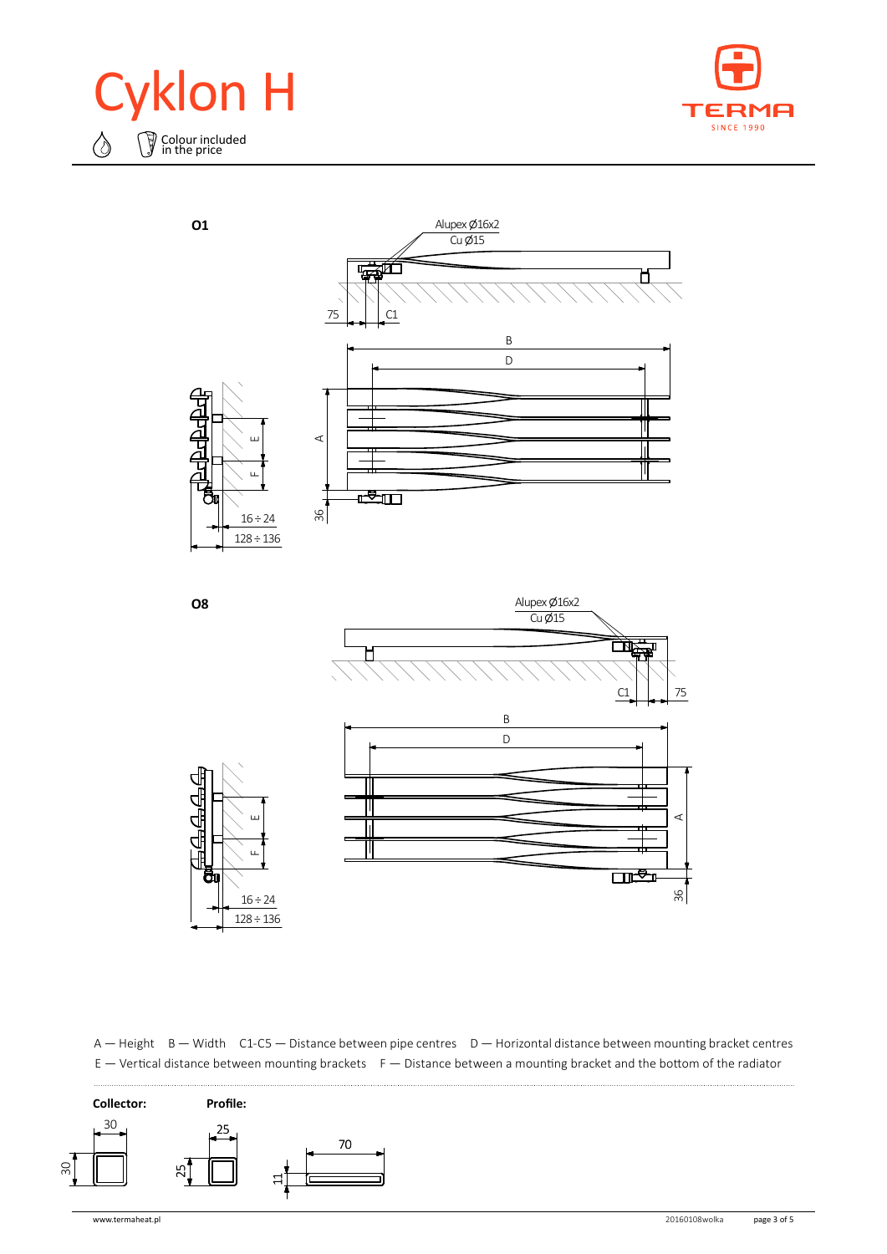





70 A — Height B — Width C1-C5 — Distance between pipe centres D — Horizontal distance between mounting bracket centres E — Vertical distance between mounting brackets F — Distance between a mounting bracket and the bottom of the radiator

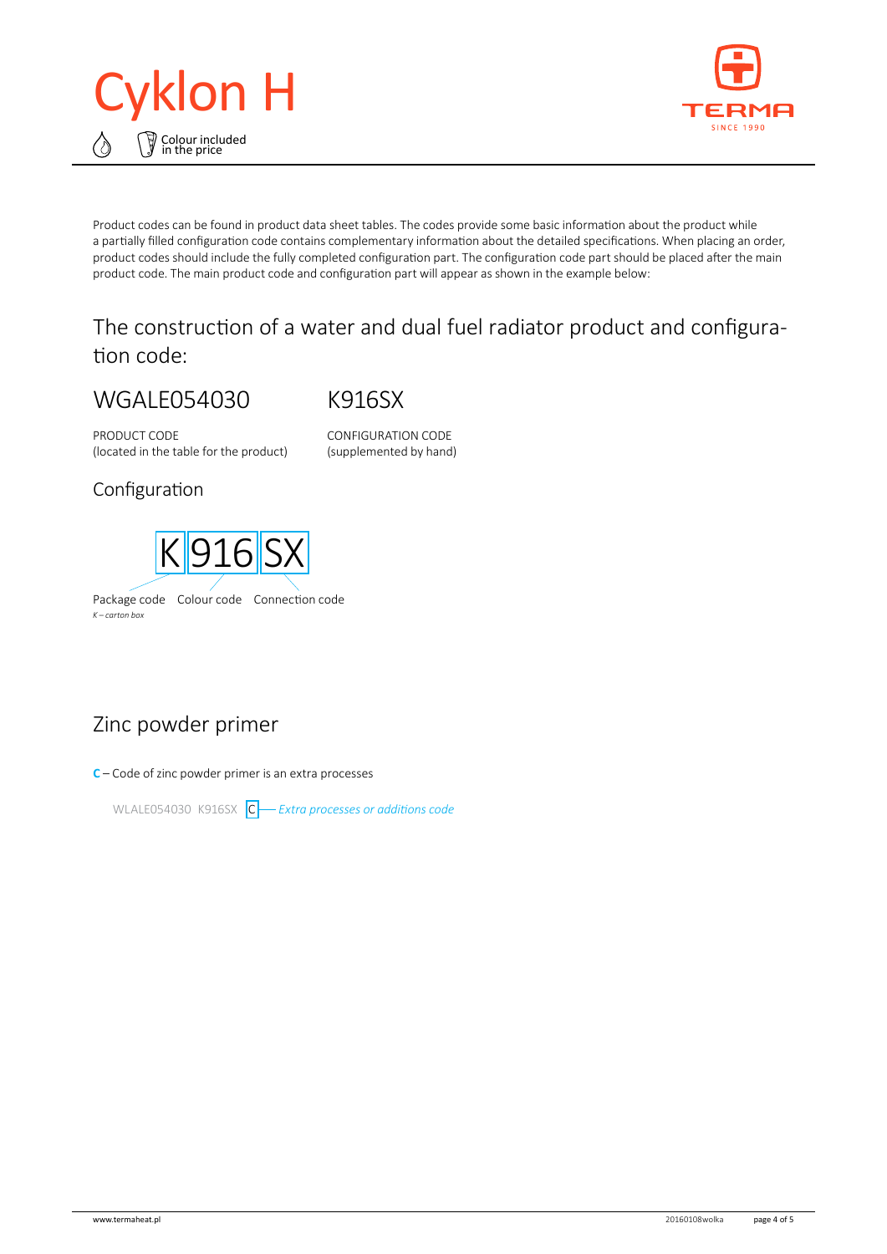



Product codes can be found in product data sheet tables. The codes provide some basic information about the product while a partially filled configuration code contains complementary information about the detailed specifications. When placing an order, product codes should include the fully completed configuration part. The configuration code part should be placed after the main product code. The main product code and configuration part will appear as shown in the example below:

## The construction of a water and dual fuel radiator product and configuration code:

# WGALE054030

K916SX

PRODUCT CODE (located in the table for the product) CONFIGURATION CODE (supplemented by hand)

#### Configuration



## Zinc powder primer

**C** – Code of zinc powder primer is an extra processes

WLALE054030 K916SX C *Extra processes or additions code*